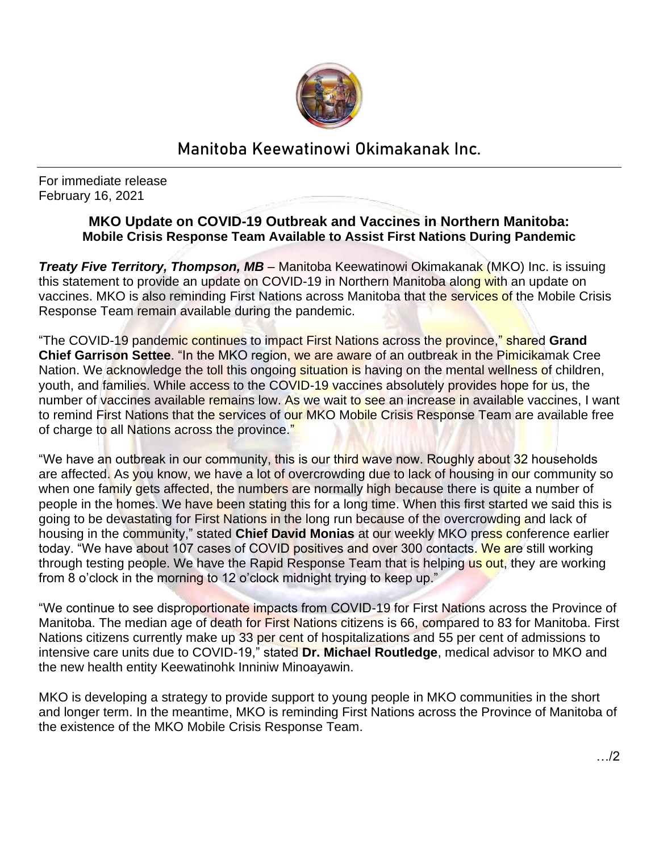

## Manitoba Keewatinowi Okimakanak Inc.

For immediate release February 16, 2021

## **MKO Update on COVID-19 Outbreak and Vaccines in Northern Manitoba: Mobile Crisis Response Team Available to Assist First Nations During Pandemic**

*Treaty Five Territory, Thompson, MB – Manitoba Keewatinowi Okimakanak (MKO) Inc. is issuing* this statement to provide an update on COVID-19 in Northern Manitoba along with an update on vaccines. MKO is also reminding First Nations across Manitoba that the services of the Mobile Crisis Response Team remain available during the pandemic.

"The COVID-19 pandemic continues to impact First Nations across the province," shared **Grand Chief Garrison Settee**. "In the MKO region, we are aware of an outbreak in the Pimicikamak Cree Nation. We acknowledge the toll this ongoing situation is having on the mental wellness of children, youth, and families. While access to the COVID-19 vaccines absolutely provides hope for us, the number of vaccines available remains low. As we wait to see an increase in available vaccines, I want to remind First Nations that the services of our MKO Mobile Crisis Response Team are available free of charge to all Nations across the province."

"We have an outbreak in our community, this is our third wave now. Roughly about 32 households are affected. As you know, we have a lot of overcrowding due to lack of housing in our community so when one family gets affected, the numbers are normally high because there is quite a number of people in the homes. We have been stating this for a long time. When this first started we said this is going to be devastating for First Nations in the long run because of the overcrowding and lack of housing in the community," stated **Chief David Monias** at our weekly MKO press conference earlier today. "We have about 107 cases of COVID positives and over 300 contacts. We are still working through testing people. We have the Rapid Response Team that is helping us out, they are working from 8 o'clock in the morning to 12 o'clock midnight trying to keep up."

"We continue to see disproportionate impacts from COVID-19 for First Nations across the Province of Manitoba. The median age of death for First Nations citizens is 66, compared to 83 for Manitoba. First Nations citizens currently make up 33 per cent of hospitalizations and 55 per cent of admissions to intensive care units due to COVID-19," stated **Dr. Michael Routledge**, medical advisor to MKO and the new health entity Keewatinohk Inniniw Minoayawin.

MKO is developing a strategy to provide support to young people in MKO communities in the short and longer term. In the meantime, MKO is reminding First Nations across the Province of Manitoba of the existence of the MKO Mobile Crisis Response Team.